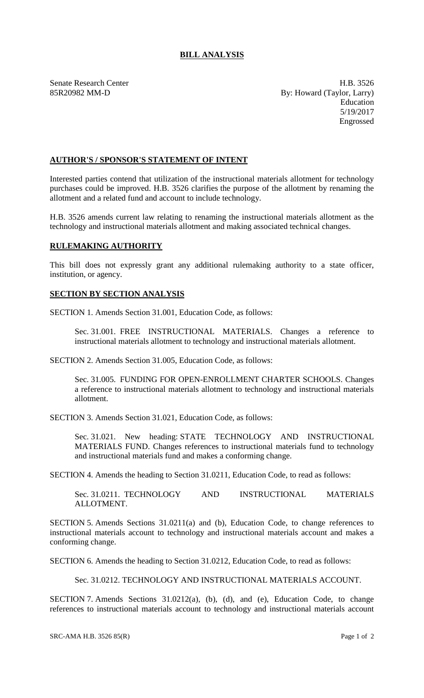## **BILL ANALYSIS**

Senate Research Center **H.B. 3526** 85R20982 MM-D By: Howard (Taylor, Larry) Education 5/19/2017 Engrossed

## **AUTHOR'S / SPONSOR'S STATEMENT OF INTENT**

Interested parties contend that utilization of the instructional materials allotment for technology purchases could be improved. H.B. 3526 clarifies the purpose of the allotment by renaming the allotment and a related fund and account to include technology.

H.B. 3526 amends current law relating to renaming the instructional materials allotment as the technology and instructional materials allotment and making associated technical changes.

## **RULEMAKING AUTHORITY**

This bill does not expressly grant any additional rulemaking authority to a state officer, institution, or agency.

## **SECTION BY SECTION ANALYSIS**

SECTION 1. Amends Section 31.001, Education Code, as follows:

Sec. 31.001. FREE INSTRUCTIONAL MATERIALS. Changes a reference to instructional materials allotment to technology and instructional materials allotment.

SECTION 2. Amends Section 31.005, Education Code, as follows:

Sec. 31.005. FUNDING FOR OPEN-ENROLLMENT CHARTER SCHOOLS. Changes a reference to instructional materials allotment to technology and instructional materials allotment.

SECTION 3. Amends Section 31.021, Education Code, as follows:

Sec. 31.021. New heading: STATE TECHNOLOGY AND INSTRUCTIONAL MATERIALS FUND. Changes references to instructional materials fund to technology and instructional materials fund and makes a conforming change.

SECTION 4. Amends the heading to Section 31.0211, Education Code, to read as follows:

Sec. 31.0211. TECHNOLOGY AND INSTRUCTIONAL MATERIALS ALLOTMENT.

SECTION 5. Amends Sections 31.0211(a) and (b), Education Code, to change references to instructional materials account to technology and instructional materials account and makes a conforming change.

SECTION 6. Amends the heading to Section 31.0212, Education Code, to read as follows:

Sec. 31.0212. TECHNOLOGY AND INSTRUCTIONAL MATERIALS ACCOUNT.

SECTION 7. Amends Sections 31.0212(a), (b), (d), and (e), Education Code, to change references to instructional materials account to technology and instructional materials account